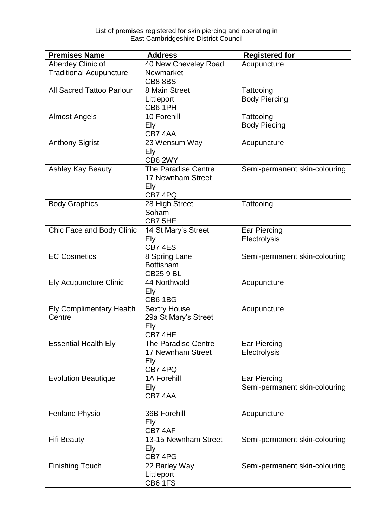| <b>Premises Name</b>                      | <b>Address</b>                           | <b>Registered for</b>         |
|-------------------------------------------|------------------------------------------|-------------------------------|
| Aberdey Clinic of                         | 40 New Cheveley Road                     | Acupuncture                   |
| <b>Traditional Acupuncture</b>            | Newmarket<br><b>CB8 8BS</b>              |                               |
| <b>All Sacred Tattoo Parlour</b>          | 8 Main Street                            | Tattooing                     |
|                                           | Littleport<br>CB6 1PH                    | <b>Body Piercing</b>          |
| <b>Almost Angels</b>                      | 10 Forehill                              | Tattooing                     |
|                                           | Ely<br>CB7 4AA                           | <b>Body Piecing</b>           |
| <b>Anthony Sigrist</b>                    | 23 Wensum Way                            | Acupuncture                   |
|                                           | Ely<br>CB6 2WY                           |                               |
| <b>Ashley Kay Beauty</b>                  | The Paradise Centre<br>17 Newnham Street | Semi-permanent skin-colouring |
|                                           | Ely                                      |                               |
|                                           | CB7 4PQ                                  |                               |
| <b>Body Graphics</b>                      | 28 High Street                           | Tattooing                     |
|                                           | Soham<br>CB7 5HE                         |                               |
| Chic Face and Body Clinic                 | 14 St Mary's Street                      | Ear Piercing                  |
|                                           | Ely                                      | Electrolysis                  |
|                                           | CB7 4ES                                  |                               |
| <b>EC Cosmetics</b>                       | 8 Spring Lane<br><b>Bottisham</b>        | Semi-permanent skin-colouring |
|                                           | <b>CB25 9 BL</b>                         |                               |
| <b>Ely Acupuncture Clinic</b>             | 44 Northwold                             | Acupuncture                   |
|                                           | Ely                                      |                               |
|                                           | <b>CB6 1BG</b>                           |                               |
| <b>Ely Complimentary Health</b><br>Centre | <b>Sextry House</b>                      | Acupuncture                   |
|                                           | 29a St Mary's Street<br>Ely              |                               |
|                                           | CB7 4HF                                  |                               |
| <b>Essential Health Ely</b>               | The Paradise Centre                      | Ear Piercing                  |
|                                           | 17 Newnham Street                        | Electrolysis                  |
|                                           | Ely<br>CB7 4PQ                           |                               |
| <b>Evolution Beautique</b>                | <b>1A Forehill</b>                       | Ear Piercing                  |
|                                           | Ely                                      | Semi-permanent skin-colouring |
|                                           | CB7 4AA                                  |                               |
| <b>Fenland Physio</b>                     | 36B Forehill                             | Acupuncture                   |
|                                           | Ely                                      |                               |
|                                           | CB7 4AF                                  |                               |
| <b>Fifi Beauty</b>                        | 13-15 Newnham Street<br>Ely              | Semi-permanent skin-colouring |
|                                           | CB7 4PG                                  |                               |
| <b>Finishing Touch</b>                    | 22 Barley Way                            | Semi-permanent skin-colouring |
|                                           | Littleport                               |                               |
|                                           | CB6 1FS                                  |                               |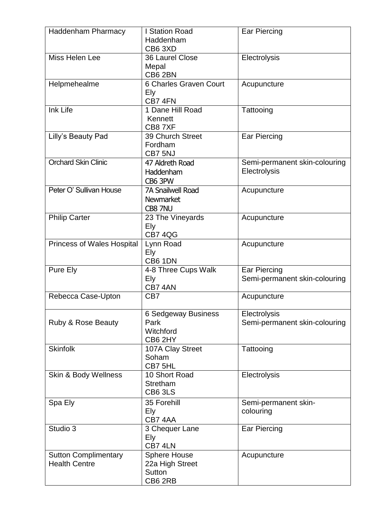| <b>Haddenham Pharmacy</b>                           | <b>I Station Road</b><br>Haddenham<br>CB63XD                       | <b>Ear Piercing</b>                           |
|-----------------------------------------------------|--------------------------------------------------------------------|-----------------------------------------------|
| Miss Helen Lee                                      | 36 Laurel Close<br>Mepal<br>CB6 2BN                                | Electrolysis                                  |
| Helpmehealme                                        | 6 Charles Graven Court<br>Ely<br>CB7 4FN                           | Acupuncture                                   |
| Ink Life                                            | 1 Dane Hill Road<br>Kennett<br>CB87XF                              | Tattooing                                     |
| Lilly's Beauty Pad                                  | 39 Church Street<br>Fordham<br>CB7 5NJ                             | Ear Piercing                                  |
| <b>Orchard Skin Clinic</b>                          | 47 Aldreth Road<br>Haddenham<br>CB6 3PW                            | Semi-permanent skin-colouring<br>Electrolysis |
| Peter O' Sullivan House                             | <b>7A Snailwell Road</b><br>Newmarket<br>CB8 7NU                   | Acupuncture                                   |
| <b>Philip Carter</b>                                | 23 The Vineyards<br>Ely<br><b>CB7 4QG</b>                          | Acupuncture                                   |
| <b>Princess of Wales Hospital</b>                   | Lynn Road<br>Ely<br>CB6 1DN                                        | Acupuncture                                   |
| Pure Ely                                            | 4-8 Three Cups Walk<br>Ely<br>CB7 4AN                              | Ear Piercing<br>Semi-permanent skin-colouring |
| Rebecca Case-Upton                                  | CB7                                                                | Acupuncture                                   |
| Ruby & Rose Beauty                                  | 6 Sedgeway Business<br>Park<br>Witchford<br>CB6 2HY                | Electrolysis<br>Semi-permanent skin-colouring |
| <b>Skinfolk</b>                                     | 107A Clay Street<br>Soham<br>CB7 5HL                               | Tattooing                                     |
| Skin & Body Wellness                                | 10 Short Road<br>Stretham<br><b>CB6 3LS</b>                        | Electrolysis                                  |
| Spa Ely                                             | 35 Forehill<br>Ely<br>CB7 4AA                                      | Semi-permanent skin-<br>colouring             |
| Studio 3                                            | 3 Chequer Lane<br>Ely<br>CB7 4LN                                   | Ear Piercing                                  |
| <b>Sutton Complimentary</b><br><b>Health Centre</b> | <b>Sphere House</b><br>22a High Street<br><b>Sutton</b><br>CB6 2RB | Acupuncture                                   |